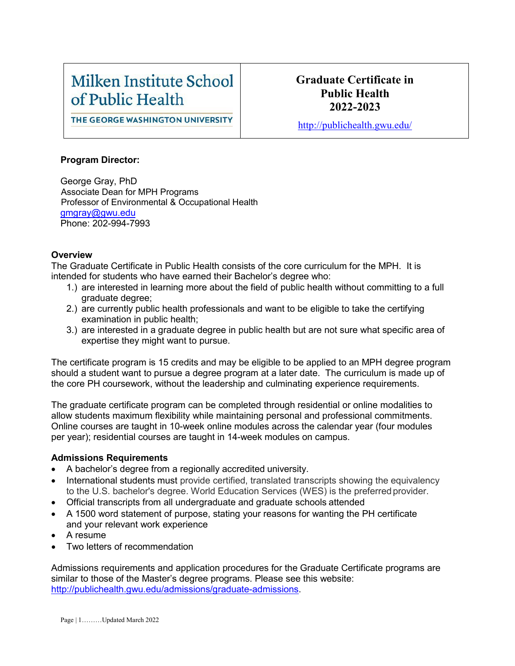# Milken Institute School of Public Health

### **Graduate Certificate in Public Health 2022-2023**

THE GEORGE WASHINGTON UNIVERSITY

<http://publichealth.gwu.edu/>

#### **Program Director:**

George Gray, PhD Associate Dean for MPH Programs Professor of Environmental & Occupational Health [gmgray@gwu.edu](mailto:gmgray@gwu.edu) Phone: 202-994-7993

#### **Overview**

The Graduate Certificate in Public Health consists of the core curriculum for the MPH. It is intended for students who have earned their Bachelor's degree who:

- 1.) are interested in learning more about the field of public health without committing to a full graduate degree;
- 2.) are currently public health professionals and want to be eligible to take the certifying examination in public health;
- 3.) are interested in a graduate degree in public health but are not sure what specific area of expertise they might want to pursue.

The certificate program is 15 credits and may be eligible to be applied to an MPH degree program should a student want to pursue a degree program at a later date. The curriculum is made up of the core PH coursework, without the leadership and culminating experience requirements.

The graduate certificate program can be completed through residential or online modalities to allow students maximum flexibility while maintaining personal and professional commitments. Online courses are taught in 10-week online modules across the calendar year (four modules per year); residential courses are taught in 14-week modules on campus.

#### **Admissions Requirements**

- A bachelor's degree from a regionally accredited university.
- International students must provide certified, translated transcripts showing the equivalency to the U.S. bachelor's degree. World Education Services (WES) is the preferredprovider.
- Official transcripts from all undergraduate and graduate schools attended
- A 1500 word statement of purpose, stating your reasons for wanting the PH certificate and your relevant work experience
- A resume
- Two letters of recommendation

Admissions requirements and application procedures for the Graduate Certificate programs are similar to those of the Master's degree programs. Please see this website: [http://publichealth.gwu.edu/admissions/graduate-admissions.](http://publichealth.gwu.edu/admissions/graduate-admissions)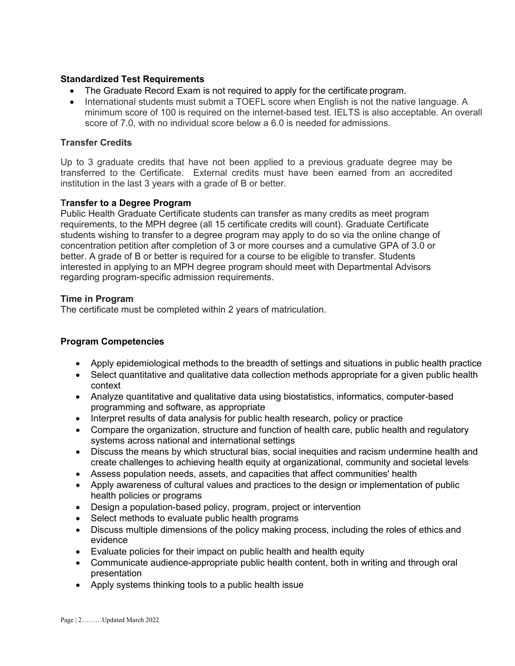#### **Standardized Test Requirements**

- The Graduate Record Exam is not required to apply for the certificate program.
- International students must submit a TOEFL score when English is not the native language. A minimum score of 100 is required on the internet-based test. IELTS is also acceptable. An overall score of 7.0, with no individual score below a 6.0 is needed for admissions.

#### **Transfer Credits**

Up to 3 graduate credits that have not been applied to a previous graduate degree may be transferred to the Certificate. External credits must have been earned from an accredited institution in the last 3 years with a grade of B or better.

#### **Transfer to a Degree Program**

Public Health Graduate Certificate students can transfer as many credits as meet program requirements, to the MPH degree (all 15 certificate credits will count). Graduate Certificate students wishing to transfer to a degree program may apply to do so via the online change of concentration petition after completion of 3 or more courses and a cumulative GPA of 3.0 or better. A grade of B or better is required for a course to be eligible to transfer. Students interested in applying to an MPH degree program should meet with Departmental Advisors regarding program-specific admission requirements.

#### **Time in Program**

The certificate must be completed within 2 years of matriculation.

#### **Program Competencies**

- Apply epidemiological methods to the breadth of settings and situations in public health practice
- Select quantitative and qualitative data collection methods appropriate for a given public health context
- Analyze quantitative and qualitative data using biostatistics, informatics, computer-based programming and software, as appropriate
- Interpret results of data analysis for public health research, policy or practice
- Compare the organization, structure and function of health care, public health and regulatory systems across national and international settings
- Discuss the means by which structural bias, social inequities and racism undermine health and create challenges to achieving health equity at organizational, community and societal levels
- Assess population needs, assets, and capacities that affect communities' health
- Apply awareness of cultural values and practices to the design or implementation of public health policies or programs
- Design a population-based policy, program, project or intervention
- Select methods to evaluate public health programs
- Discuss multiple dimensions of the policy making process, including the roles of ethics and evidence
- Evaluate policies for their impact on public health and health equity
- Communicate audience-appropriate public health content, both in writing and through oral presentation
- Apply systems thinking tools to a public health issue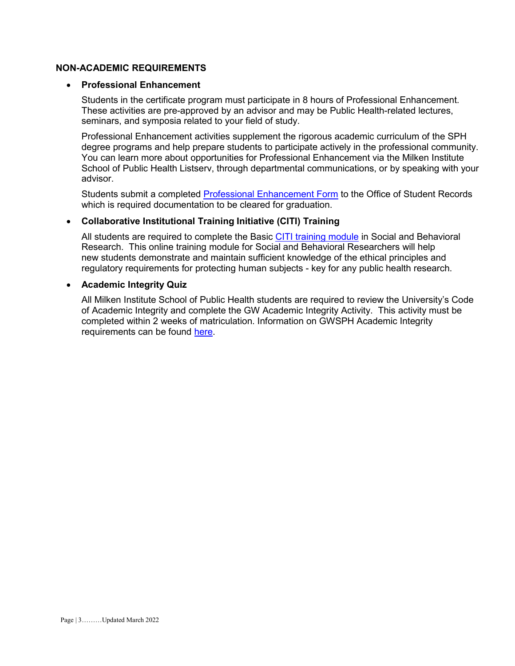#### **NON-ACADEMIC REQUIREMENTS**

#### • **Professional Enhancement**

Students in the certificate program must participate in 8 hours of Professional Enhancement. These activities are pre-approved by an advisor and may be Public Health-related lectures, seminars, and symposia related to your field of study.

Professional Enhancement activities supplement the rigorous academic curriculum of the SPH degree programs and help prepare students to participate actively in the professional community. You can learn more about opportunities for Professional Enhancement via the Milken Institute School of Public Health Listserv, through departmental communications, or by speaking with your advisor.

Students submit a completed [Professional Enhancement Form](http://publichealth.gwu.edu/academics/forms) to the Office of Student Records which is required documentation to be cleared for graduation.

#### • **Collaborative Institutional Training Initiative (CITI) Training**

All students are required to complete the Basic [CITI training module](http://www.citiprogram.org/) in Social and Behavioral Research. This online training module for Social and Behavioral Researchers will help new students demonstrate and maintain sufficient knowledge of the ethical principles and regulatory requirements for protecting human subjects - key for any public health research.

#### • **Academic Integrity Quiz**

All Milken Institute School of Public Health students are required to review the University's Code of Academic Integrity and complete the GW Academic Integrity Activity. This activity must be completed within 2 weeks of matriculation. Information on GWSPH Academic Integrity requirements can be found [here.](http://publichealth.gwu.edu/integrity)